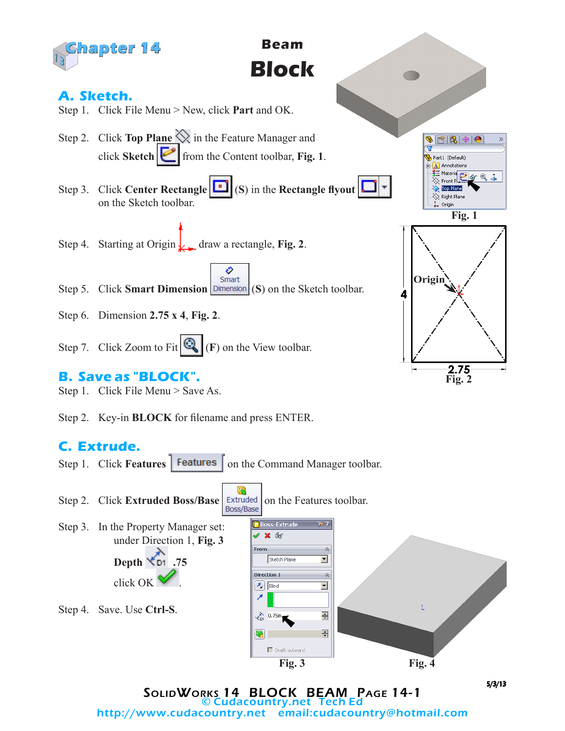

## **C. Extrude.**





SolidWorks 14 BLOCK BEAM Page 14-1 © Cudacountry.net Tech Ed email:cudacountry@hotmail.com